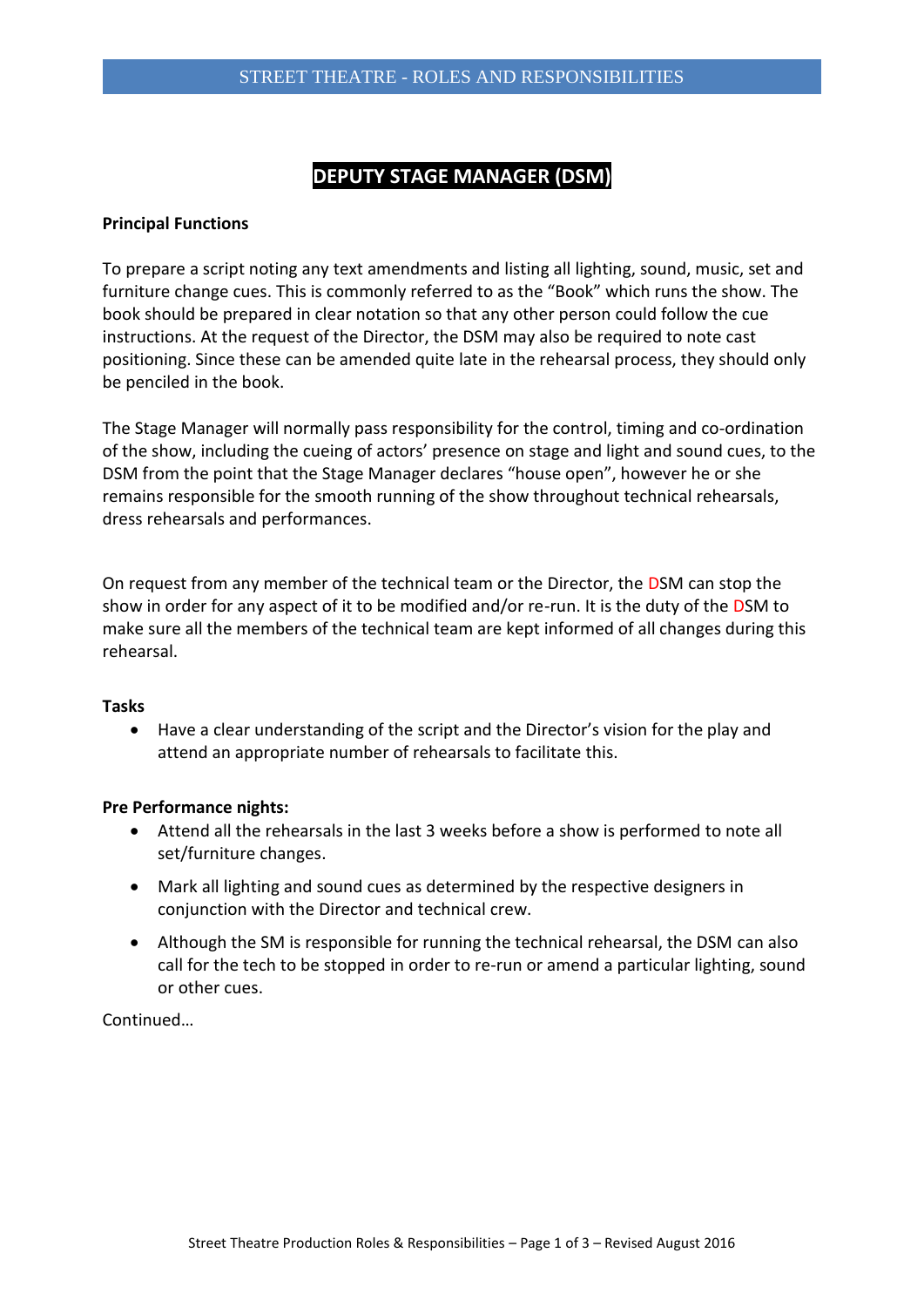# **DEPUTY STAGE MANAGER (DSM)**

### **Principal Functions**

To prepare a script noting any text amendments and listing all lighting, sound, music, set and furniture change cues. This is commonly referred to as the "Book" which runs the show. The book should be prepared in clear notation so that any other person could follow the cue instructions. At the request of the Director, the DSM may also be required to note cast positioning. Since these can be amended quite late in the rehearsal process, they should only be penciled in the book.

The Stage Manager will normally pass responsibility for the control, timing and co-ordination of the show, including the cueing of actors' presence on stage and light and sound cues, to the DSM from the point that the Stage Manager declares "house open", however he or she remains responsible for the smooth running of the show throughout technical rehearsals, dress rehearsals and performances.

On request from any member of the technical team or the Director, the DSM can stop the show in order for any aspect of it to be modified and/or re-run. It is the duty of the DSM to make sure all the members of the technical team are kept informed of all changes during this rehearsal.

#### **Tasks**

 Have a clear understanding of the script and the Director's vision for the play and attend an appropriate number of rehearsals to facilitate this.

#### **Pre Performance nights:**

- Attend all the rehearsals in the last 3 weeks before a show is performed to note all set/furniture changes.
- Mark all lighting and sound cues as determined by the respective designers in conjunction with the Director and technical crew.
- Although the SM is responsible for running the technical rehearsal, the DSM can also call for the tech to be stopped in order to re-run or amend a particular lighting, sound or other cues.

Continued…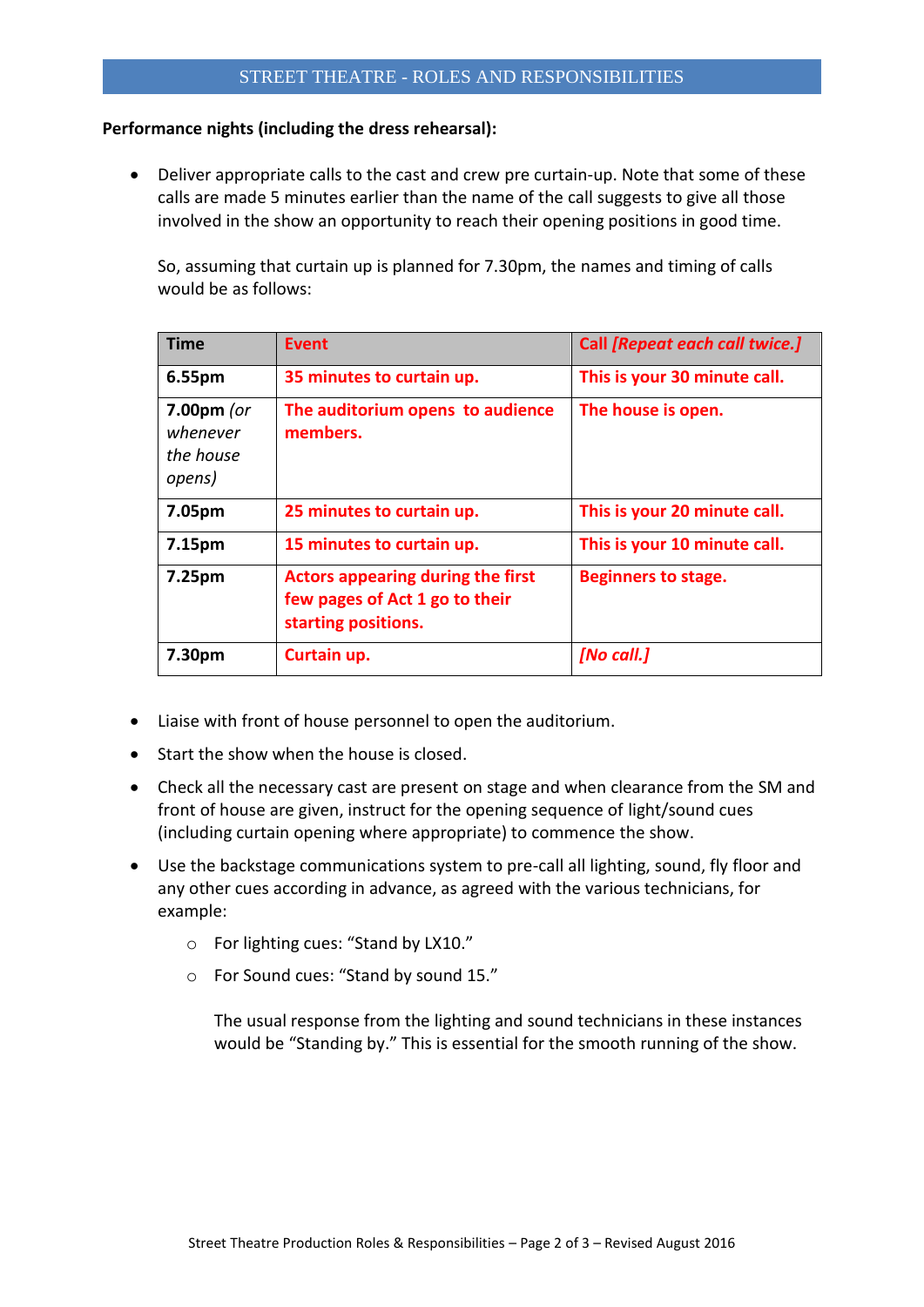## **Performance nights (including the dress rehearsal):**

 Deliver appropriate calls to the cast and crew pre curtain-up. Note that some of these calls are made 5 minutes earlier than the name of the call suggests to give all those involved in the show an opportunity to reach their opening positions in good time.

So, assuming that curtain up is planned for 7.30pm, the names and timing of calls would be as follows:

| <b>Time</b>                                     | <b>Event</b>                                                                                      | Call [Repeat each call twice.] |
|-------------------------------------------------|---------------------------------------------------------------------------------------------------|--------------------------------|
| 6.55pm                                          | 35 minutes to curtain up.                                                                         | This is your 30 minute call.   |
| $7.00pm$ (or<br>whenever<br>the house<br>opens) | The auditorium opens to audience<br>members.                                                      | The house is open.             |
| 7.05pm                                          | 25 minutes to curtain up.                                                                         | This is your 20 minute call.   |
| 7.15pm                                          | 15 minutes to curtain up.                                                                         | This is your 10 minute call.   |
| 7.25pm                                          | <b>Actors appearing during the first</b><br>few pages of Act 1 go to their<br>starting positions. | <b>Beginners to stage.</b>     |
| 7.30pm                                          | Curtain up.                                                                                       | [No call.]                     |

- Liaise with front of house personnel to open the auditorium.
- Start the show when the house is closed.
- Check all the necessary cast are present on stage and when clearance from the SM and front of house are given, instruct for the opening sequence of light/sound cues (including curtain opening where appropriate) to commence the show.
- Use the backstage communications system to pre-call all lighting, sound, fly floor and any other cues according in advance, as agreed with the various technicians, for example:
	- o For lighting cues: "Stand by LX10."
	- o For Sound cues: "Stand by sound 15."

The usual response from the lighting and sound technicians in these instances would be "Standing by." This is essential for the smooth running of the show.